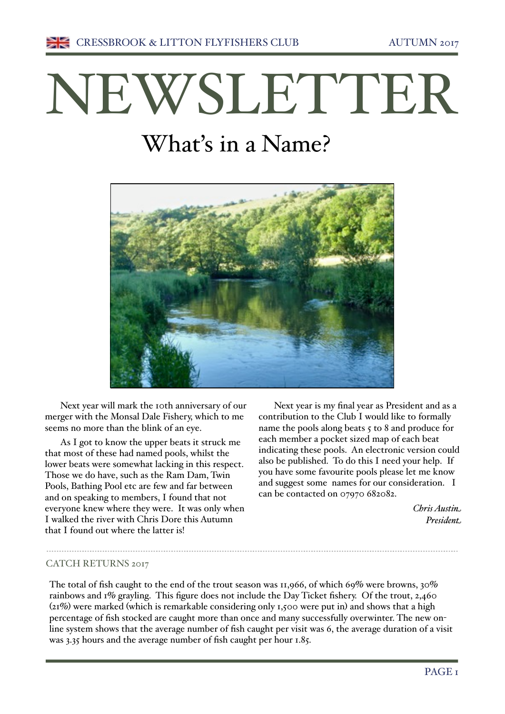# What's in a Name? NEWSLETTER



Next year will mark the 10th anniversary of our merger with the Monsal Dale Fishery, which to me seems no more than the blink of an eye.

As I got to know the upper beats it struck me that most of these had named pools, whilst the lower beats were somewhat lacking in this respect. Those we do have, such as the Ram Dam, Twin Pools, Bathing Pool etc are few and far between and on speaking to members, I found that not everyone knew where they were. It was only when I walked the river with Chris Dore this Autumn that I found out where the latter is!

Next year is my final year as President and as a contribution to the Club I would like to formally name the pools along beats 5 to 8 and produce for each member a pocket sized map of each beat indicating these pools. An electronic version could also be published. To do this I need your help. If you have some favourite pools please let me know and suggest some names for our consideration. I can be contacted on 07970 682082.

> *Chris Austin President*

#### CATCH RETURNS 2017

The total of fish caught to the end of the trout season was  $11,966$ , of which 69% were browns, 30% rainbows and 1% grayling. This figure does not include the Day Ticket fishery. Of the trout, 2,460 (21%) were marked (which is remarkable considering only 1,500 were put in) and shows that a high percentage of fish stocked are caught more than once and many successfully overwinter. The new online system shows that the average number of fish caught per visit was 6, the average duration of a visit was 3.35 hours and the average number of fish caught per hour 1.85.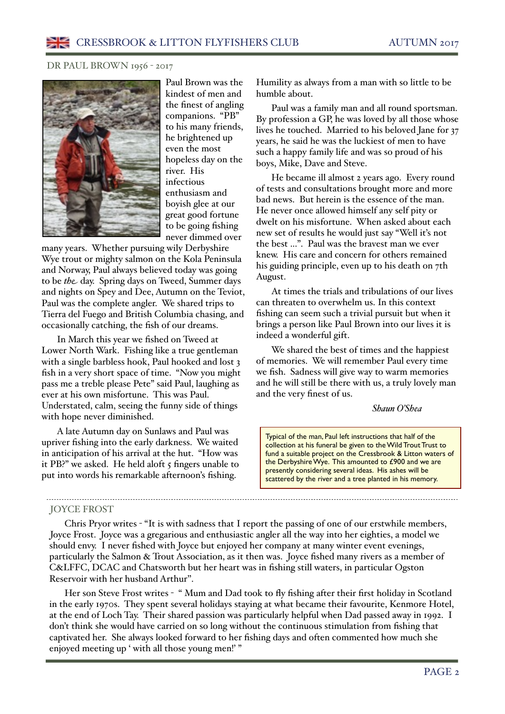#### DR PAUL BROWN 1956 - 2017



Paul Brown was the kindest of men and the finest of angling companions. "PB" to his many friends, he brightened up even the most hopeless day on the river. His infectious enthusiasm and boyish glee at our great good fortune to be going fishing never dimmed over

many years. Whether pursuing wily Derbyshire Wye trout or mighty salmon on the Kola Peninsula and Norway, Paul always believed today was going to be *the* day. Spring days on Tweed, Summer days and nights on Spey and Dee, Autumn on the Teviot, Paul was the complete angler. We shared trips to Tierra del Fuego and British Columbia chasing, and occasionally catching, the fish of our dreams.

In March this year we fished on Tweed at Lower North Wark. Fishing like a true gentleman with a single barbless hook, Paul hooked and lost 3 fish in a very short space of time. "Now you might pass me a treble please Pete" said Paul, laughing as ever at his own misfortune. This was Paul. Understated, calm, seeing the funny side of things with hope never diminished.

A late Autumn day on Sunlaws and Paul was upriver fishing into the early darkness. We waited in anticipation of his arrival at the hut. "How was it PB?" we asked. He held aloft  $5$  fingers unable to put into words his remarkable afternoon's fishing.

Humility as always from a man with so little to be humble about.

Paul was a family man and all round sportsman. By profession a GP, he was loved by all those whose lives he touched. Married to his beloved Jane for 37 years, he said he was the luckiest of men to have such a happy family life and was so proud of his boys, Mike, Dave and Steve.

He became ill almost 2 years ago. Every round of tests and consultations brought more and more bad news. But herein is the essence of the man. He never once allowed himself any self pity or dwelt on his misfortune. When asked about each new set of results he would just say "Well it's not the best ...". Paul was the bravest man we ever knew. His care and concern for others remained his guiding principle, even up to his death on 7th August.

At times the trials and tribulations of our lives can threaten to overwhelm us. In this context fishing can seem such a trivial pursuit but when it brings a person like Paul Brown into our lives it is indeed a wonderful gift.

We shared the best of times and the happiest of memories. We will remember Paul every time we fish. Sadness will give way to warm memories and he will still be there with us, a truly lovely man and the very finest of us.

 *Shaun O'Shea*

Typical of the man, Paul left instructions that half of the collection at his funeral be given to the Wild Trout Trust to fund a suitable project on the Cressbrook & Litton waters of the Derbyshire Wye. This amounted to £900 and we are presently considering several ideas. His ashes will be scattered by the river and a tree planted in his memory.

#### JOYCE FROST

Chris Pryor writes - "It is with sadness that I report the passing of one of our erstwhile members, Joyce Frost. Joyce was a gregarious and enthusiastic angler all the way into her eighties, a model we should envy. I never fished with Joyce but enjoyed her company at many winter event evenings, particularly the Salmon & Trout Association, as it then was. Joyce fished many rivers as a member of C&LFFC, DCAC and Chatsworth but her heart was in fishing still waters, in particular Ogston Reservoir with her husband Arthur''.

Her son Steve Frost writes - " Mum and Dad took to fly fishing after their first holiday in Scotland in the early 1970s. They spent several holidays staying at what became their favourite, Kenmore Hotel, at the end of Loch Tay. Their shared passion was particularly helpful when Dad passed away in 1992. I don't think she would have carried on so long without the continuous stimulation from fishing that captivated her. She always looked forward to her fishing days and often commented how much she enjoyed meeting up ' with all those young men!' "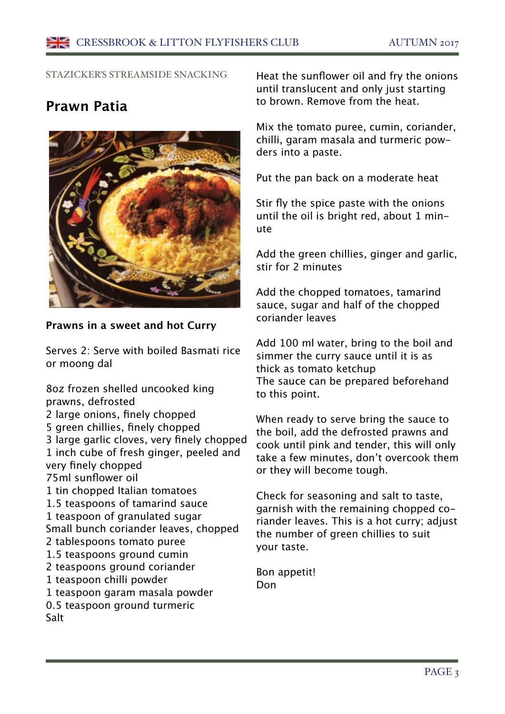STAZICKER'S STREAMSIDE SNACKING

# **Prawn Patia**



**Prawns in a sweet and hot Curry**

Serves 2: Serve with boiled Basmati rice or moong dal

8oz frozen shelled uncooked king prawns, defrosted 2 large onions, finely chopped 5 green chillies, finely chopped 3 large garlic cloves, very finely chopped 1 inch cube of fresh ginger, peeled and very finely chopped 75ml sunflower oil 1 tin chopped Italian tomatoes 1.5 teaspoons of tamarind sauce 1 teaspoon of granulated sugar Small bunch coriander leaves, chopped 2 tablespoons tomato puree 1.5 teaspoons ground cumin 2 teaspoons ground coriander 1 teaspoon chilli powder 1 teaspoon garam masala powder 0.5 teaspoon ground turmeric Salt

Heat the sunflower oil and fry the onions until translucent and only just starting to brown. Remove from the heat.

Mix the tomato puree, cumin, coriander, chilli, garam masala and turmeric powders into a paste.

Put the pan back on a moderate heat

Stir fly the spice paste with the onions until the oil is bright red, about 1 minute

Add the green chillies, ginger and garlic, stir for 2 minutes

Add the chopped tomatoes, tamarind sauce, sugar and half of the chopped coriander leaves

Add 100 ml water, bring to the boil and simmer the curry sauce until it is as thick as tomato ketchup The sauce can be prepared beforehand to this point.

When ready to serve bring the sauce to the boil, add the defrosted prawns and cook until pink and tender, this will only take a few minutes, don't overcook them or they will become tough.

Check for seasoning and salt to taste, garnish with the remaining chopped coriander leaves. This is a hot curry; adjust the number of green chillies to suit your taste.

Bon appetit! Don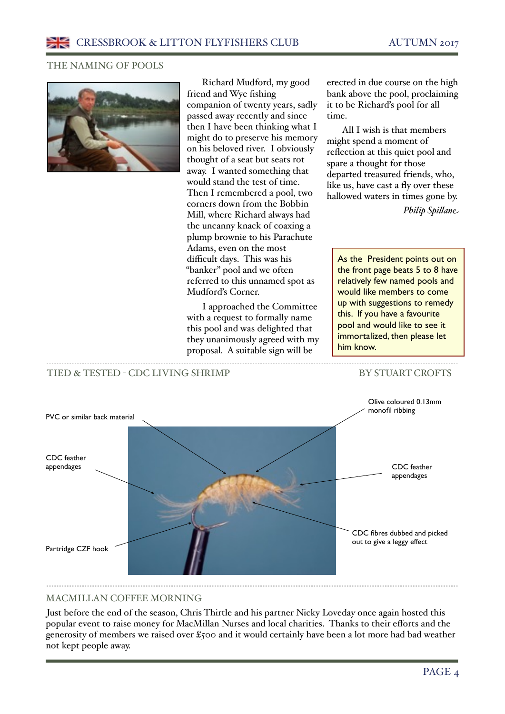## THE NAMING OF POOLS



Richard Mudford, my good friend and Wye fishing companion of twenty years, sadly passed away recently and since then I have been thinking what I might do to preserve his memory on his beloved river. I obviously thought of a seat but seats rot away. I wanted something that would stand the test of time. Then I remembered a pool, two corners down from the Bobbin Mill, where Richard always had the uncanny knack of coaxing a plump brownie to his Parachute Adams, even on the most difficult days. This was his "banker" pool and we often referred to this unnamed spot as Mudford's Corner.

I approached the Committee with a request to formally name this pool and was delighted that they unanimously agreed with my proposal. A suitable sign will be

erected in due course on the high bank above the pool, proclaiming it to be Richard's pool for all time.

All I wish is that members might spend a moment of reflection at this quiet pool and spare a thought for those departed treasured friends, who, like us, have cast a fly over these hallowed waters in times gone by.

*Philip Spi\$ane*

As the President points out on the front page beats 5 to 8 have relatively few named pools and would like members to come up with suggestions to remedy this. If you have a favourite pool and would like to see it immortalized, then please let him know.

#### TIED & TESTED - CDC LIVING SHRIMP  $\qquad \qquad \qquad$  BY STUART CROFTS



# MACMILLAN COFFEE MORNING

Just before the end of the season, Chris Thirtle and his partner Nicky Loveday once again hosted this popular event to raise money for MacMillan Nurses and local charities. Thanks to their efforts and the generosity of members we raised over £500 and it would certainly have been a lot more had bad weather not kept people away.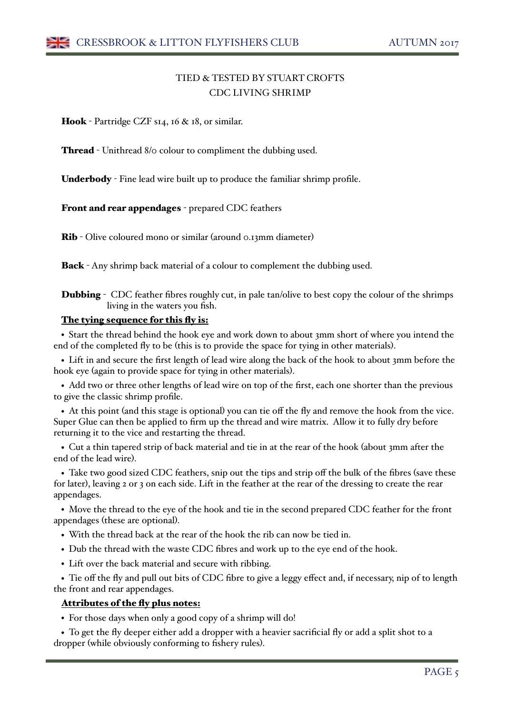# TIED & TESTED BY STUART CROFTS CDC LIVING SHRIMP

Hook - Partridge CZF s14, 16 & 18, or similar.

Thread - Unithread 8/0 colour to compliment the dubbing used.

Underbody - Fine lead wire built up to produce the familiar shrimp profile.

Front and rear appendages - prepared CDC feathers

Rib - Olive coloured mono or similar (around 0.13mm diameter)

Back - Any shrimp back material of a colour to complement the dubbing used.

**Dubbing** - CDC feather fibres roughly cut, in pale tan/olive to best copy the colour of the shrimps living in the waters you fish.

#### The tying sequence for this fly is:

• Start the thread behind the hook eye and work down to about 3mm short of where you intend the end of the completed fly to be (this is to provide the space for tying in other materials).

• Lift in and secure the first length of lead wire along the back of the hook to about 3mm before the hook eye (again to provide space for tying in other materials).

• Add two or three other lengths of lead wire on top of the first, each one shorter than the previous to give the classic shrimp profile.

• At this point (and this stage is optional) you can tie off the fly and remove the hook from the vice. Super Glue can then be applied to firm up the thread and wire matrix. Allow it to fully dry before returning it to the vice and restarting the thread.

• Cut a thin tapered strip of back material and tie in at the rear of the hook (about 3mm after the end of the lead wire).

• Take two good sized CDC feathers, snip out the tips and strip off the bulk of the fibres (save these for later), leaving 2 or 3 on each side. Lift in the feather at the rear of the dressing to create the rear appendages.

• Move the thread to the eye of the hook and tie in the second prepared CDC feather for the front appendages (these are optional).

- With the thread back at the rear of the hook the rib can now be tied in.
- Dub the thread with the waste CDC fibres and work up to the eye end of the hook.
- Lift over the back material and secure with ribbing.

• Tie off the fly and pull out bits of CDC fibre to give a leggy effect and, if necessary, nip of to length the front and rear appendages.

#### Attributes of the fly plus notes:

• For those days when only a good copy of a shrimp will do!

• To get the fly deeper either add a dropper with a heavier sacrificial fly or add a split shot to a dropper (while obviously conforming to fishery rules).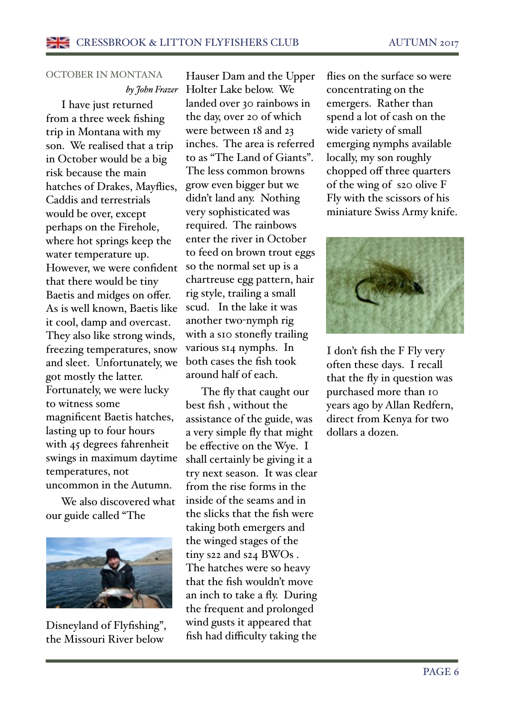# OCTOBER IN MONTANA *by John Frazer*

I have just returned from a three week fishing trip in Montana with my son. We realised that a trip in October would be a big risk because the main hatches of Drakes, Mayflies, Caddis and terrestrials would be over, except perhaps on the Firehole, where hot springs keep the water temperature up. However, we were confident that there would be tiny Baetis and midges on offer. As is well known, Baetis like it cool, damp and overcast. They also like strong winds, freezing temperatures, snow and sleet. Unfortunately, we got mostly the latter. Fortunately, we were lucky to witness some magnificent Baetis hatches, lasting up to four hours with 45 degrees fahrenheit swings in maximum daytime temperatures, not uncommon in the Autumn.

We also discovered what our guide called "The



Disneyland of Flyfishing", the Missouri River below

Hauser Dam and the Upper Holter Lake below. We landed over 30 rainbows in the day, over 20 of which were between 18 and 23 inches. The area is referred to as "The Land of Giants". The less common browns grow even bigger but we didn't land any. Nothing very sophisticated was required. The rainbows enter the river in October to feed on brown trout eggs so the normal set up is a chartreuse egg pattern, hair rig style, trailing a small scud. In the lake it was another two-nymph rig with a s10 stonefly trailing various s14 nymphs. In both cases the fish took around half of each.

The fly that caught our best fish , without the assistance of the guide, was a very simple fly that might be effective on the Wye. I shall certainly be giving it a try next season. It was clear from the rise forms in the inside of the seams and in the slicks that the fish were taking both emergers and the winged stages of the tiny s22 and s24 BWOs . The hatches were so heavy that the fish wouldn't move an inch to take a fly. During the frequent and prolonged wind gusts it appeared that fish had difficulty taking the

flies on the surface so were concentrating on the emergers. Rather than spend a lot of cash on the wide variety of small emerging nymphs available locally, my son roughly chopped off three quarters of the wing of s20 olive F Fly with the scissors of his miniature Swiss Army knife.



I don't fish the F Fly very often these days. I recall that the fly in question was purchased more than 10 years ago by Allan Redfern, direct from Kenya for two dollars a dozen.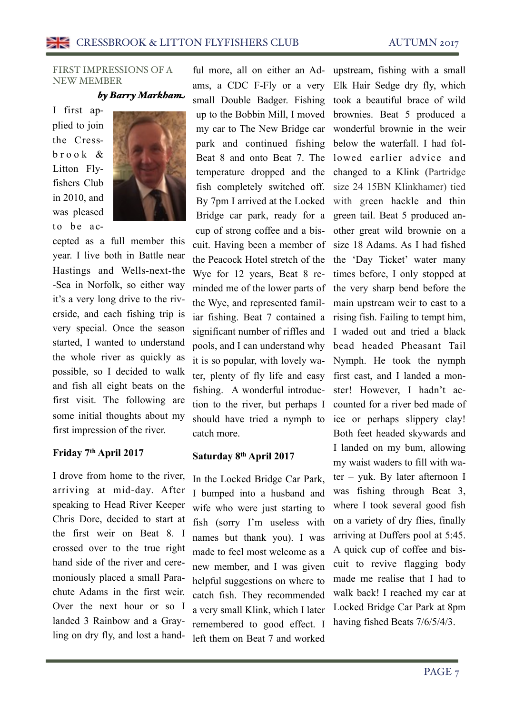#### FIRST IMPRESSIONS OF A NEW MEMBER

#### *by Barry Markham*

I first applied to join the Cress $b \cdot c \cdot b \cdot k$ Litton Flyfishers Club in 2010, and was pleased to be ac-



cepted as a full member this year. I live both in Battle near Hastings and Wells-next-the -Sea in Norfolk, so either way it's a very long drive to the riverside, and each fishing trip is very special. Once the season started, I wanted to understand the whole river as quickly as possible, so I decided to walk and fish all eight beats on the first visit. The following are some initial thoughts about my first impression of the river.

# **Friday 7th April 2017**

I drove from home to the river, arriving at mid-day. After speaking to Head River Keeper Chris Dore, decided to start at the first weir on Beat 8. I crossed over to the true right hand side of the river and ceremoniously placed a small Parachute Adams in the first weir. Over the next hour or so I landed 3 Rainbow and a Grayling on dry fly, and lost a handams, a CDC F-Fly or a very small Double Badger. Fishing up to the Bobbin Mill, I moved my car to The New Bridge car park and continued fishing Beat 8 and onto Beat 7. The temperature dropped and the fish completely switched off. By 7pm I arrived at the Locked Bridge car park, ready for a cup of strong coffee and a biscuit. Having been a member of the Peacock Hotel stretch of the Wye for 12 years, Beat 8 reminded me of the lower parts of the Wye, and represented familiar fishing. Beat 7 contained a significant number of riffles and pools, and I can understand why it is so popular, with lovely water, plenty of fly life and easy fishing. A wonderful introduction to the river, but perhaps I should have tried a nymph to catch more.

#### **Saturday 8th April 2017**

In the Locked Bridge Car Park, I bumped into a husband and wife who were just starting to fish (sorry I'm useless with names but thank you). I was made to feel most welcome as a new member, and I was given helpful suggestions on where to catch fish. They recommended a very small Klink, which I later remembered to good effect. I left them on Beat 7 and worked

ful more, all on either an Ad- upstream, fishing with a small Elk Hair Sedge dry fly, which took a beautiful brace of wild brownies. Beat 5 produced a wonderful brownie in the weir below the waterfall. I had followed earlier advice and changed to a Klink (Partridge size 24 15BN Klinkhamer) tied with green hackle and thin green tail. Beat 5 produced another great wild brownie on a size 18 Adams. As I had fished the 'Day Ticket' water many times before, I only stopped at the very sharp bend before the main upstream weir to cast to a rising fish. Failing to tempt him, I waded out and tried a black bead headed Pheasant Tail Nymph. He took the nymph first cast, and I landed a monster! However, I hadn't accounted for a river bed made of ice or perhaps slippery clay! Both feet headed skywards and I landed on my bum, allowing my waist waders to fill with water – yuk. By later afternoon I was fishing through Beat 3, where I took several good fish on a variety of dry flies, finally arriving at Duffers pool at 5:45. A quick cup of coffee and biscuit to revive flagging body made me realise that I had to walk back! I reached my car at Locked Bridge Car Park at 8pm having fished Beats 7/6/5/4/3.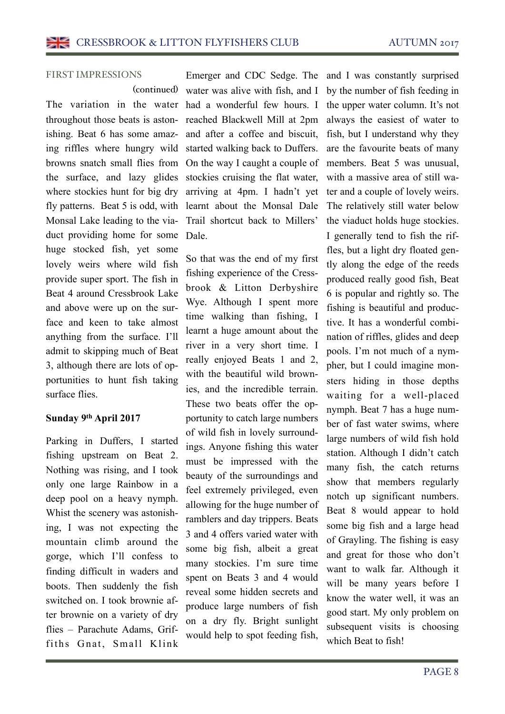(continued)

#### FIRST IMPRESSIONS

The variation in the water had a wonderful few hours. I throughout those beats is astonishing. Beat 6 has some amazing riffles where hungry wild browns snatch small flies from On the way I caught a couple of the surface, and lazy glides where stockies hunt for big dry fly patterns. Beat 5 is odd, with Monsal Lake leading to the viaduct providing home for some huge stocked fish, yet some lovely weirs where wild fish provide super sport. The fish in Beat 4 around Cressbrook Lake and above were up on the surface and keen to take almost anything from the surface. I'll admit to skipping much of Beat 3, although there are lots of opportunities to hunt fish taking surface flies.

## **Sunday 9th April 2017**

Parking in Duffers, I started fishing upstream on Beat 2. Nothing was rising, and I took only one large Rainbow in a deep pool on a heavy nymph. Whist the scenery was astonishing, I was not expecting the mountain climb around the gorge, which I'll confess to finding difficult in waders and boots. Then suddenly the fish switched on. I took brownie after brownie on a variety of dry flies – Parachute Adams, Griffiths Gnat, Small Klink

Emerger and CDC Sedge. The water was alive with fish, and I reached Blackwell Mill at 2pm and after a coffee and biscuit, started walking back to Duffers. stockies cruising the flat water, arriving at 4pm. I hadn't yet learnt about the Monsal Dale Trail shortcut back to Millers' Dale.

So that was the end of my first fishing experience of the Cressbrook & Litton Derbyshire Wye. Although I spent more time walking than fishing, I learnt a huge amount about the river in a very short time. I really enjoyed Beats 1 and 2, with the beautiful wild brownies, and the incredible terrain. These two beats offer the opportunity to catch large numbers of wild fish in lovely surroundings. Anyone fishing this water must be impressed with the beauty of the surroundings and feel extremely privileged, even allowing for the huge number of ramblers and day trippers. Beats 3 and 4 offers varied water with some big fish, albeit a great many stockies. I'm sure time spent on Beats 3 and 4 would reveal some hidden secrets and produce large numbers of fish on a dry fly. Bright sunlight would help to spot feeding fish,

and I was constantly surprised by the number of fish feeding in the upper water column. It's not always the easiest of water to fish, but I understand why they are the favourite beats of many members. Beat 5 was unusual, with a massive area of still water and a couple of lovely weirs. The relatively still water below the viaduct holds huge stockies. I generally tend to fish the riffles, but a light dry floated gently along the edge of the reeds produced really good fish, Beat 6 is popular and rightly so. The fishing is beautiful and productive. It has a wonderful combination of riffles, glides and deep pools. I'm not much of a nympher, but I could imagine monsters hiding in those depths waiting for a well-placed nymph. Beat 7 has a huge number of fast water swims, where large numbers of wild fish hold station. Although I didn't catch many fish, the catch returns show that members regularly notch up significant numbers. Beat 8 would appear to hold some big fish and a large head of Grayling. The fishing is easy and great for those who don't want to walk far. Although it will be many years before I know the water well, it was an good start. My only problem on subsequent visits is choosing which Beat to fish!